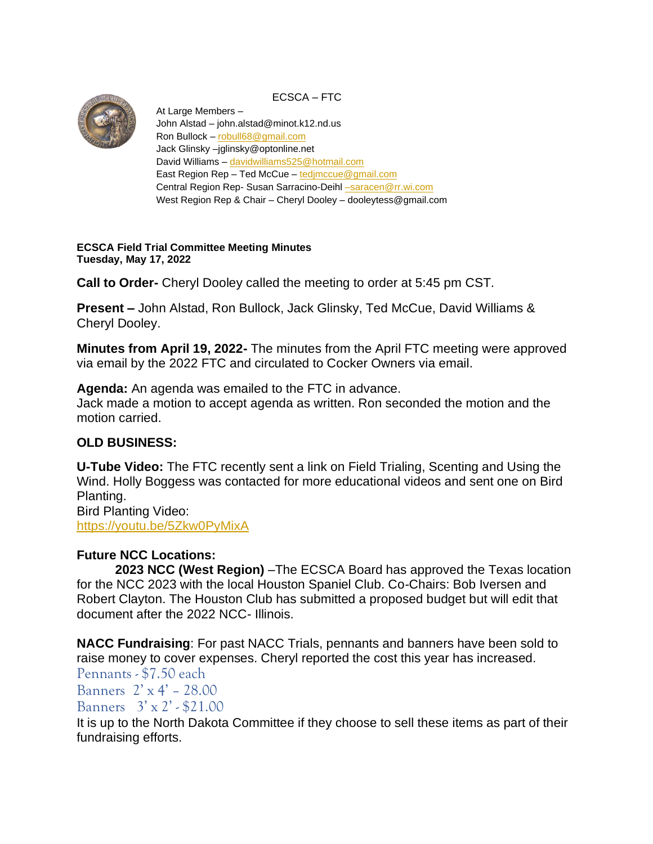

ECSCA – FTC

At Large Members – John Alstad – john.alstad@minot.k12.nd.us Ron Bullock – [robull68@gmail.com](mailto:robull68@gmail.com) Jack Glinsky –jglinsky@optonline.net David Williams – [davidwilliams525@hotmail.com](mailto:davidwilliams525@hotmail.com) East Region Rep – Ted McCue – [tedjmccue@gmail.com](mailto:tedjmccue@gmail.com) Central Region Rep- Susan Sarracino-Deihl -saracen@rr.wi.com West Region Rep & Chair – Cheryl Dooley – dooleytess@gmail.com

**ECSCA Field Trial Committee Meeting Minutes Tuesday, May 17, 2022**

**Call to Order-** Cheryl Dooley called the meeting to order at 5:45 pm CST.

**Present –** John Alstad, Ron Bullock, Jack Glinsky, Ted McCue, David Williams & Cheryl Dooley.

**Minutes from April 19, 2022-** The minutes from the April FTC meeting were approved via email by the 2022 FTC and circulated to Cocker Owners via email.

**Agenda:** An agenda was emailed to the FTC in advance. Jack made a motion to accept agenda as written. Ron seconded the motion and the motion carried.

## **OLD BUSINESS:**

**U-Tube Video:** The FTC recently sent a link on Field Trialing, Scenting and Using the Wind. Holly Boggess was contacted for more educational videos and sent one on Bird Planting. Bird Planting Video:

<https://youtu.be/5Zkw0PyMixA>

## **Future NCC Locations:**

**2023 NCC (West Region)** –The ECSCA Board has approved the Texas location for the NCC 2023 with the local Houston Spaniel Club. Co-Chairs: Bob Iversen and Robert Clayton. The Houston Club has submitted a proposed budget but will edit that document after the 2022 NCC- Illinois.

**NACC Fundraising**: For past NACC Trials, pennants and banners have been sold to raise money to cover expenses. Cheryl reported the cost this year has increased.

Pennants - \$7.50 each Banners 2' x 4' – 28.00 Banners  $3' \times 2'$  - \$21.00

It is up to the North Dakota Committee if they choose to sell these items as part of their fundraising efforts.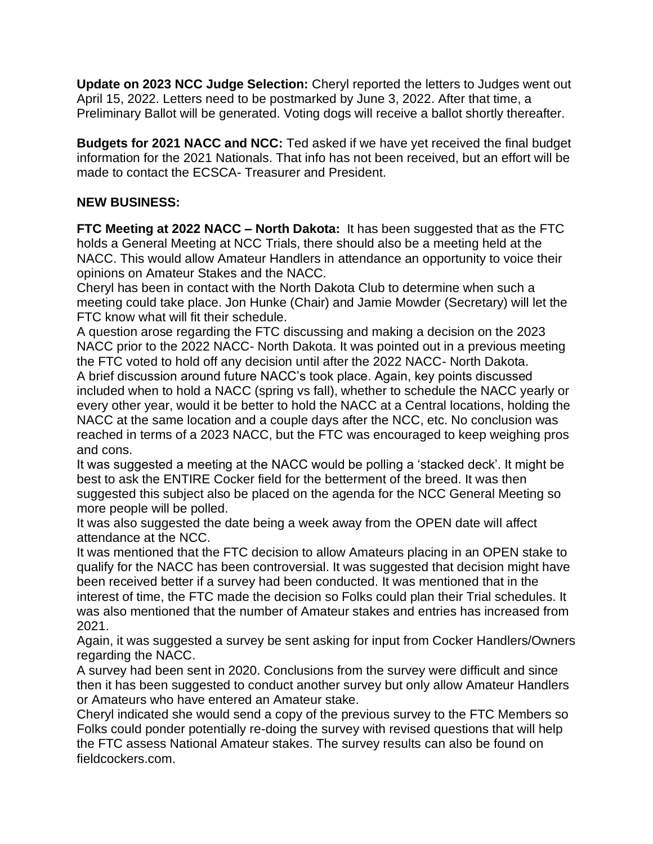**Update on 2023 NCC Judge Selection:** Cheryl reported the letters to Judges went out April 15, 2022. Letters need to be postmarked by June 3, 2022. After that time, a Preliminary Ballot will be generated. Voting dogs will receive a ballot shortly thereafter.

**Budgets for 2021 NACC and NCC:** Ted asked if we have yet received the final budget information for the 2021 Nationals. That info has not been received, but an effort will be made to contact the ECSCA- Treasurer and President.

## **NEW BUSINESS:**

**FTC Meeting at 2022 NACC – North Dakota:** It has been suggested that as the FTC holds a General Meeting at NCC Trials, there should also be a meeting held at the NACC. This would allow Amateur Handlers in attendance an opportunity to voice their opinions on Amateur Stakes and the NACC.

Cheryl has been in contact with the North Dakota Club to determine when such a meeting could take place. Jon Hunke (Chair) and Jamie Mowder (Secretary) will let the FTC know what will fit their schedule.

A question arose regarding the FTC discussing and making a decision on the 2023 NACC prior to the 2022 NACC- North Dakota. It was pointed out in a previous meeting the FTC voted to hold off any decision until after the 2022 NACC- North Dakota. A brief discussion around future NACC's took place. Again, key points discussed included when to hold a NACC (spring vs fall), whether to schedule the NACC yearly or every other year, would it be better to hold the NACC at a Central locations, holding the NACC at the same location and a couple days after the NCC, etc. No conclusion was reached in terms of a 2023 NACC, but the FTC was encouraged to keep weighing pros and cons.

It was suggested a meeting at the NACC would be polling a 'stacked deck'. It might be best to ask the ENTIRE Cocker field for the betterment of the breed. It was then suggested this subject also be placed on the agenda for the NCC General Meeting so more people will be polled.

It was also suggested the date being a week away from the OPEN date will affect attendance at the NCC.

It was mentioned that the FTC decision to allow Amateurs placing in an OPEN stake to qualify for the NACC has been controversial. It was suggested that decision might have been received better if a survey had been conducted. It was mentioned that in the interest of time, the FTC made the decision so Folks could plan their Trial schedules. It was also mentioned that the number of Amateur stakes and entries has increased from 2021.

Again, it was suggested a survey be sent asking for input from Cocker Handlers/Owners regarding the NACC.

A survey had been sent in 2020. Conclusions from the survey were difficult and since then it has been suggested to conduct another survey but only allow Amateur Handlers or Amateurs who have entered an Amateur stake.

Cheryl indicated she would send a copy of the previous survey to the FTC Members so Folks could ponder potentially re-doing the survey with revised questions that will help the FTC assess National Amateur stakes. The survey results can also be found on fieldcockers.com.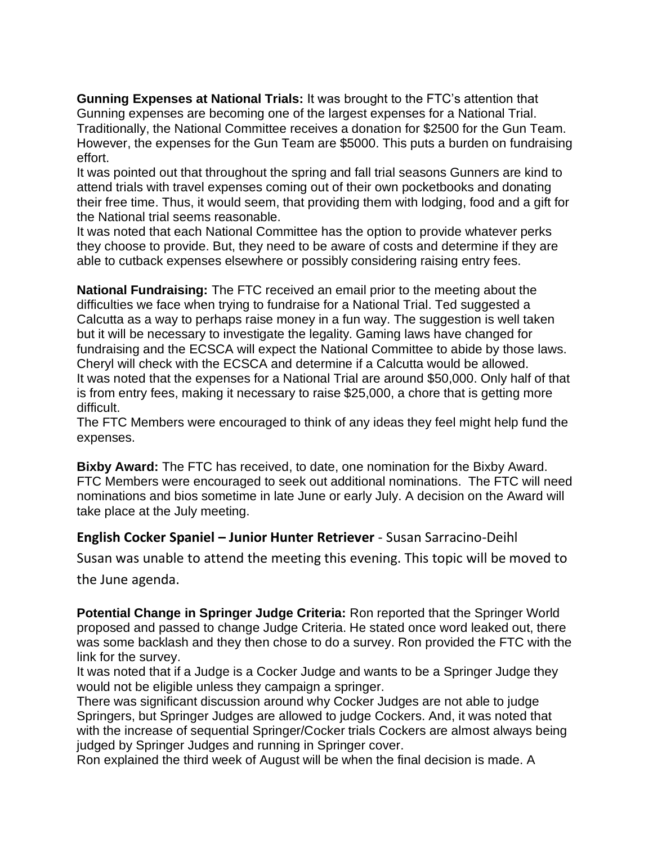**Gunning Expenses at National Trials:** It was brought to the FTC's attention that Gunning expenses are becoming one of the largest expenses for a National Trial. Traditionally, the National Committee receives a donation for \$2500 for the Gun Team. However, the expenses for the Gun Team are \$5000. This puts a burden on fundraising effort.

It was pointed out that throughout the spring and fall trial seasons Gunners are kind to attend trials with travel expenses coming out of their own pocketbooks and donating their free time. Thus, it would seem, that providing them with lodging, food and a gift for the National trial seems reasonable.

It was noted that each National Committee has the option to provide whatever perks they choose to provide. But, they need to be aware of costs and determine if they are able to cutback expenses elsewhere or possibly considering raising entry fees.

**National Fundraising:** The FTC received an email prior to the meeting about the difficulties we face when trying to fundraise for a National Trial. Ted suggested a Calcutta as a way to perhaps raise money in a fun way. The suggestion is well taken but it will be necessary to investigate the legality. Gaming laws have changed for fundraising and the ECSCA will expect the National Committee to abide by those laws. Cheryl will check with the ECSCA and determine if a Calcutta would be allowed. It was noted that the expenses for a National Trial are around \$50,000. Only half of that is from entry fees, making it necessary to raise \$25,000, a chore that is getting more difficult.

The FTC Members were encouraged to think of any ideas they feel might help fund the expenses.

**Bixby Award:** The FTC has received, to date, one nomination for the Bixby Award. FTC Members were encouraged to seek out additional nominations. The FTC will need nominations and bios sometime in late June or early July. A decision on the Award will take place at the July meeting.

## **English Cocker Spaniel – Junior Hunter Retriever** - Susan Sarracino-Deihl

Susan was unable to attend the meeting this evening. This topic will be moved to the June agenda.

**Potential Change in Springer Judge Criteria:** Ron reported that the Springer World proposed and passed to change Judge Criteria. He stated once word leaked out, there was some backlash and they then chose to do a survey. Ron provided the FTC with the link for the survey.

It was noted that if a Judge is a Cocker Judge and wants to be a Springer Judge they would not be eligible unless they campaign a springer.

There was significant discussion around why Cocker Judges are not able to judge Springers, but Springer Judges are allowed to judge Cockers. And, it was noted that with the increase of sequential Springer/Cocker trials Cockers are almost always being judged by Springer Judges and running in Springer cover.

Ron explained the third week of August will be when the final decision is made. A